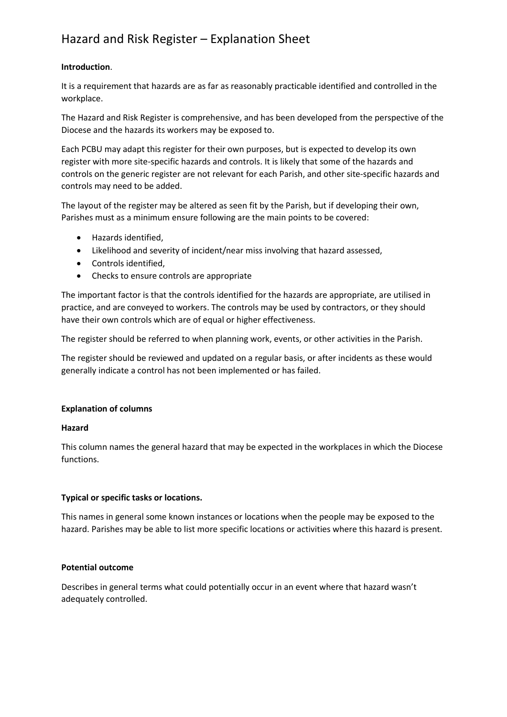# Hazard and Risk Register – Explanation Sheet

## **Introduction**.

It is a requirement that hazards are as far as reasonably practicable identified and controlled in the workplace.

The Hazard and Risk Register is comprehensive, and has been developed from the perspective of the Diocese and the hazards its workers may be exposed to.

Each PCBU may adapt this register for their own purposes, but is expected to develop its own register with more site-specific hazards and controls. It is likely that some of the hazards and controls on the generic register are not relevant for each Parish, and other site-specific hazards and controls may need to be added.

The layout of the register may be altered as seen fit by the Parish, but if developing their own, Parishes must as a minimum ensure following are the main points to be covered:

- Hazards identified,
- Likelihood and severity of incident/near miss involving that hazard assessed,
- Controls identified,
- Checks to ensure controls are appropriate

The important factor is that the controls identified for the hazards are appropriate, are utilised in practice, and are conveyed to workers. The controls may be used by contractors, or they should have their own controls which are of equal or higher effectiveness.

The register should be referred to when planning work, events, or other activities in the Parish.

The register should be reviewed and updated on a regular basis, or after incidents as these would generally indicate a control has not been implemented or has failed.

# **Explanation of columns**

# **Hazard**

This column names the general hazard that may be expected in the workplaces in which the Diocese functions.

# **Typical or specific tasks or locations.**

This names in general some known instances or locations when the people may be exposed to the hazard. Parishes may be able to list more specific locations or activities where this hazard is present.

### **Potential outcome**

Describes in general terms what could potentially occur in an event where that hazard wasn't adequately controlled.